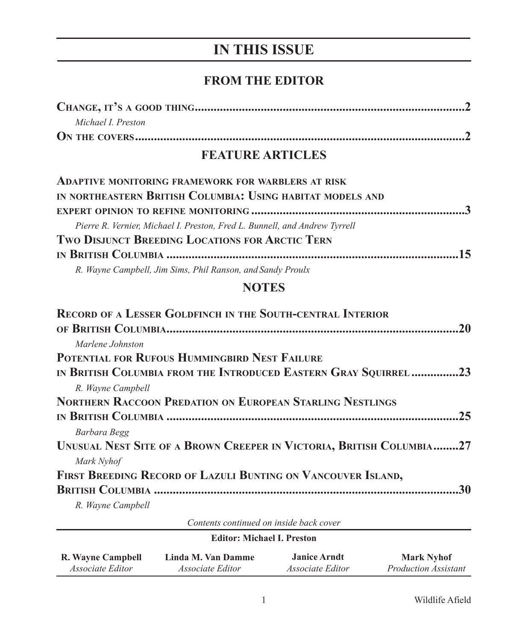# **IN THIS ISSUE**

## **FROM THE EDITOR**

| Michael I. Preston |  |
|--------------------|--|
|                    |  |

## **FEATURE ARTICLES**

| ADAPTIVE MONITORING FRAMEWORK FOR WARBLERS AT RISK                         |  |
|----------------------------------------------------------------------------|--|
| IN NORTHEASTERN BRITISH COLUMBIA: USING HABITAT MODELS AND                 |  |
|                                                                            |  |
| Pierre R. Vernier, Michael I. Preston, Fred L. Bunnell, and Andrew Tyrrell |  |
| <b>TWO DISJUNCT BREEDING LOCATIONS FOR ARCTIC TERN</b>                     |  |
|                                                                            |  |
| R. Wayne Campbell, Jim Sims, Phil Ranson, and Sandy Proulx                 |  |

#### **NOTES**

| <b>RECORD OF A LESSER GOLDFINCH IN THE SOUTH-CENTRAL INTERIOR</b>    |
|----------------------------------------------------------------------|
| .20                                                                  |
| Marlene Johnston                                                     |
| POTENTIAL FOR RUFOUS HUMMINGBIRD NEST FAILURE                        |
| IN BRITISH COLUMBIA FROM THE INTRODUCED EASTERN GRAY SQUIRREL 23     |
| R. Wayne Campbell                                                    |
| <b>NORTHERN RACCOON PREDATION ON EUROPEAN STARLING NESTLINGS</b>     |
| 25                                                                   |
| Barbara Begg                                                         |
| UNUSUAL NEST SITE OF A BROWN CREEPER IN VICTORIA, BRITISH COLUMBIA27 |
| Mark Nyhof                                                           |
| FIRST BREEDING RECORD OF LAZULI BUNTING ON VANCOUVER ISLAND,         |
| 30                                                                   |
| R. Wayne Campbell                                                    |

*Contents continued on inside back cover*

| <b>Editor: Michael I. Preston</b> |                         |                         |                             |  |  |
|-----------------------------------|-------------------------|-------------------------|-----------------------------|--|--|
| R. Wayne Campbell                 | Linda M. Van Damme      | <b>Janice Arndt</b>     | <b>Mark Nyhof</b>           |  |  |
| <i>Associate Editor</i>           | <i>Associate Editor</i> | <i>Associate Editor</i> | <i>Production Assistant</i> |  |  |